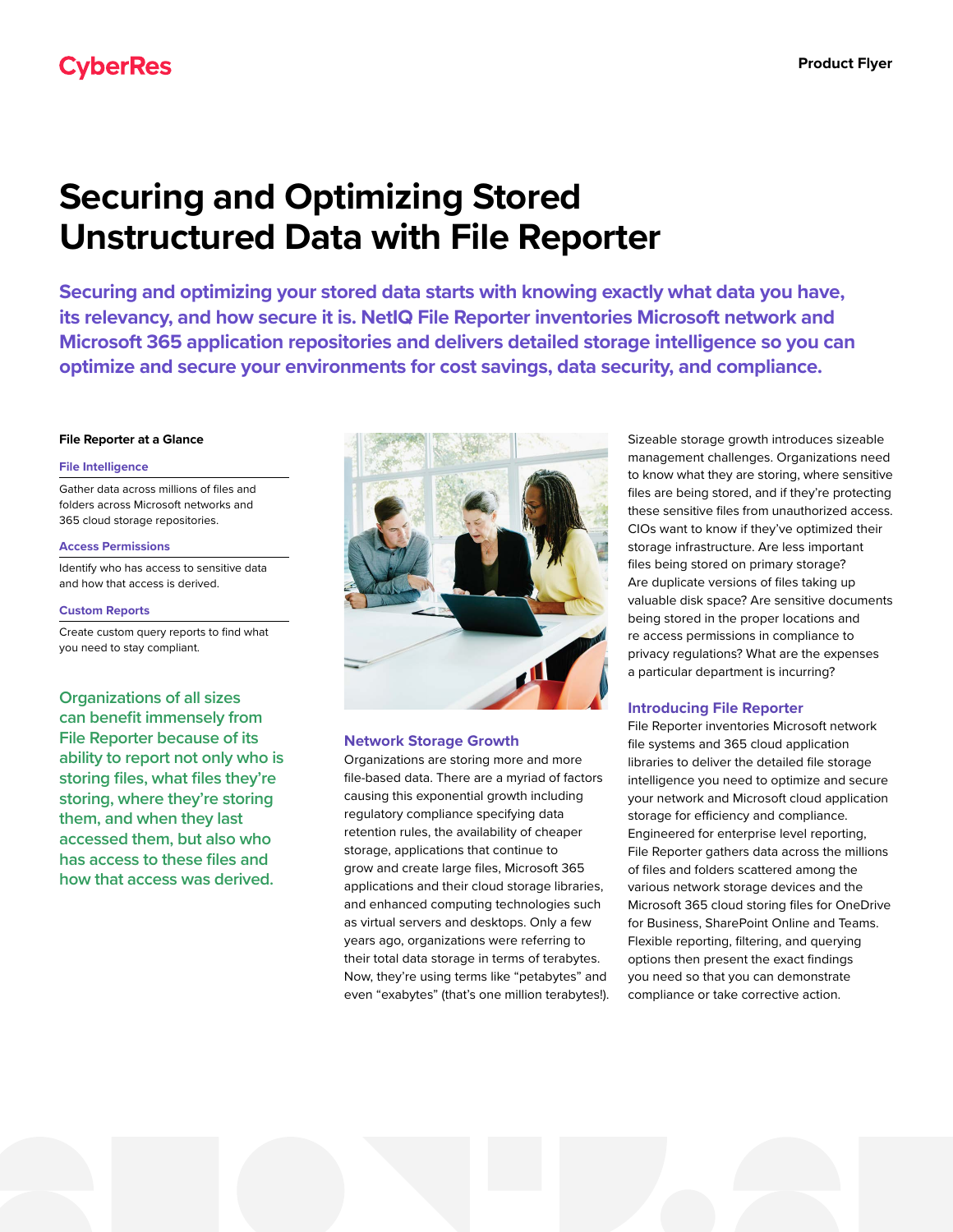# **Securing and Optimizing Stored Unstructured Data with File Reporter**

**Securing and optimizing your stored data starts with knowing exactly what data you have, its relevancy, and how secure it is. NetIQ File Reporter inventories Microsoft network and Microsoft 365 application repositories and delivers detailed storage intelligence so you can optimize and secure your environments for cost savings, data security, and compliance.**

#### **File Reporter at a Glance**

#### **File Intelligence**

Gather data across millions of files and folders across Microsoft networks and 365 cloud storage repositories.

#### **Access Permissions**

Identify who has access to sensitive data and how that access is derived.

#### **Custom Reports**

Create custom query reports to find what you need to stay compliant.

**Organizations of all sizes can benefit immensely from File Reporter because of its ability to report not only who is storing files, what files they're storing, where they're storing them, and when they last accessed them, but also who has access to these files and how that access was derived.**



### **Network Storage Growth**

Organizations are storing more and more file-based data. There are a myriad of factors causing this exponential growth including regulatory compliance specifying data retention rules, the availability of cheaper storage, applications that continue to grow and create large files, Microsoft 365 applications and their cloud storage libraries, and enhanced computing technologies such as virtual servers and desktops. Only a few years ago, organizations were referring to their total data storage in terms of terabytes. Now, they're using terms like "petabytes" and even "exabytes" (that's one million terabytes!). Sizeable storage growth introduces sizeable management challenges. Organizations need to know what they are storing, where sensitive files are being stored, and if they're protecting these sensitive files from unauthorized access. CIOs want to know if they've optimized their storage infrastructure. Are less important files being stored on primary storage? Are duplicate versions of files taking up valuable disk space? Are sensitive documents being stored in the proper locations and re access permissions in compliance to privacy regulations? What are the expenses a particular department is incurring?

## **Introducing File Reporter**

File Reporter inventories Microsoft network file systems and 365 cloud application libraries to deliver the detailed file storage intelligence you need to optimize and secure your network and Microsoft cloud application storage for efficiency and compliance. Engineered for enterprise level reporting, File Reporter gathers data across the millions of files and folders scattered among the various network storage devices and the Microsoft 365 cloud storing files for OneDrive for Business, SharePoint Online and Teams. Flexible reporting, filtering, and querying options then present the exact findings you need so that you can demonstrate compliance or take corrective action.